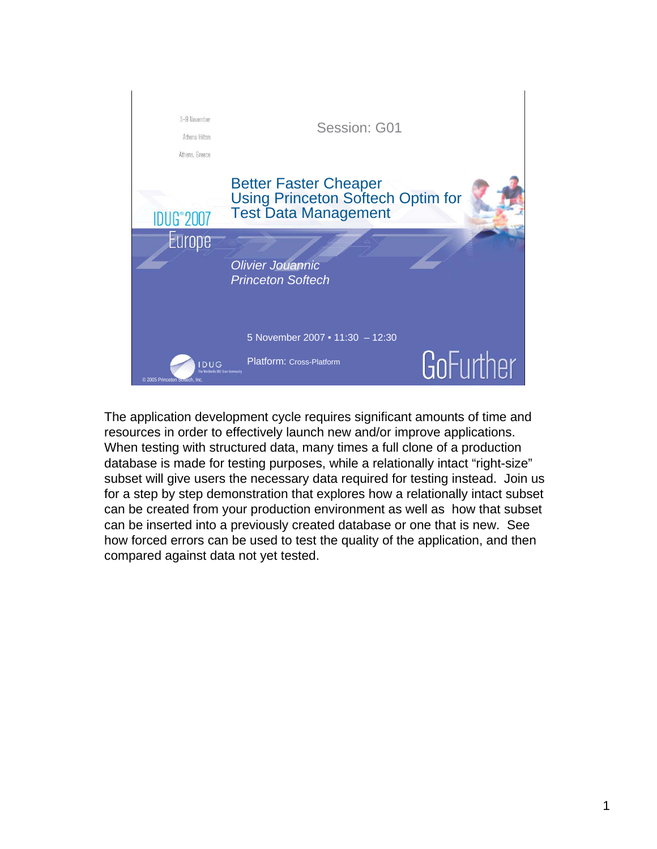

The application development cycle requires significant amounts of time and resources in order to effectively launch new and/or improve applications. When testing with structured data, many times a full clone of a production database is made for testing purposes, while a relationally intact "right-size" subset will give users the necessary data required for testing instead. Join us for a step by step demonstration that explores how a relationally intact subset can be created from your production environment as well as how that subset can be inserted into a previously created database or one that is new. See how forced errors can be used to test the quality of the application, and then compared against data not yet tested.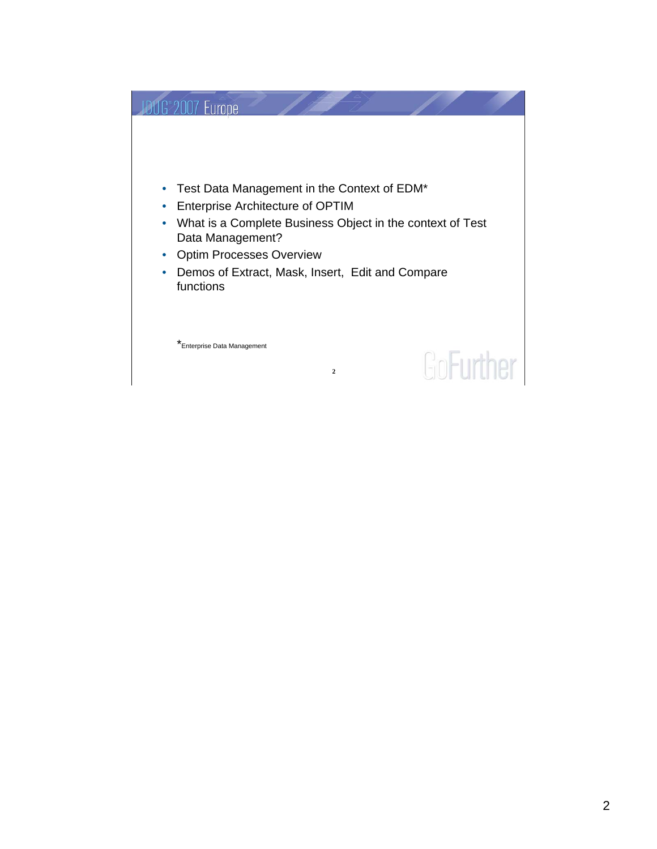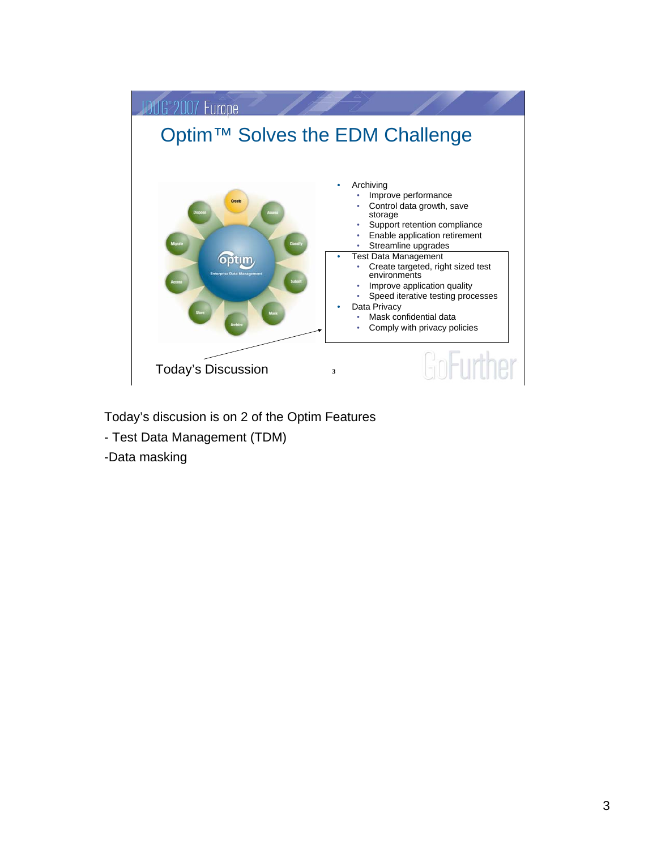

Today's discusion is on 2 of the Optim Features

- Test Data Management (TDM)

-Data masking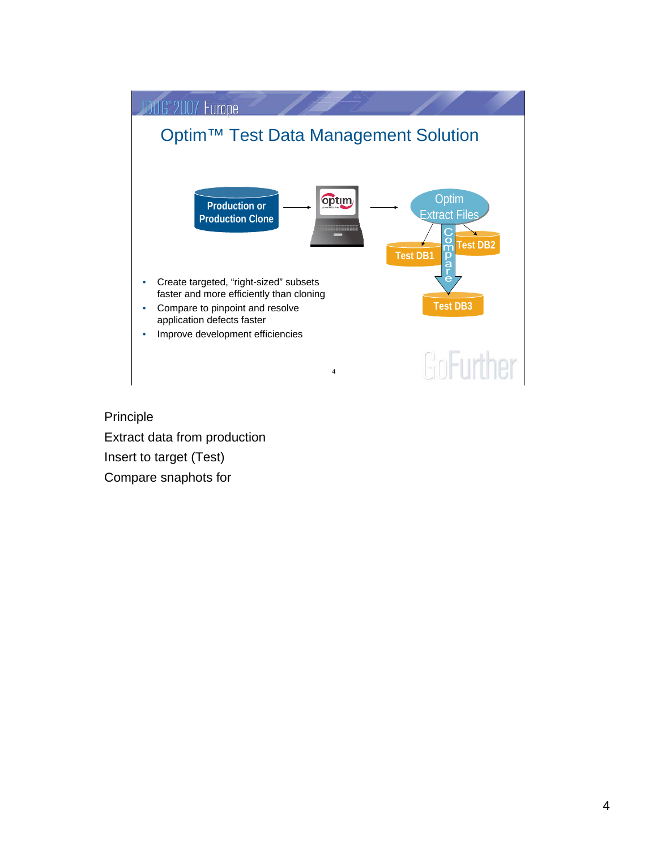

Principle Extract data from production Insert to target (Test) Compare snaphots for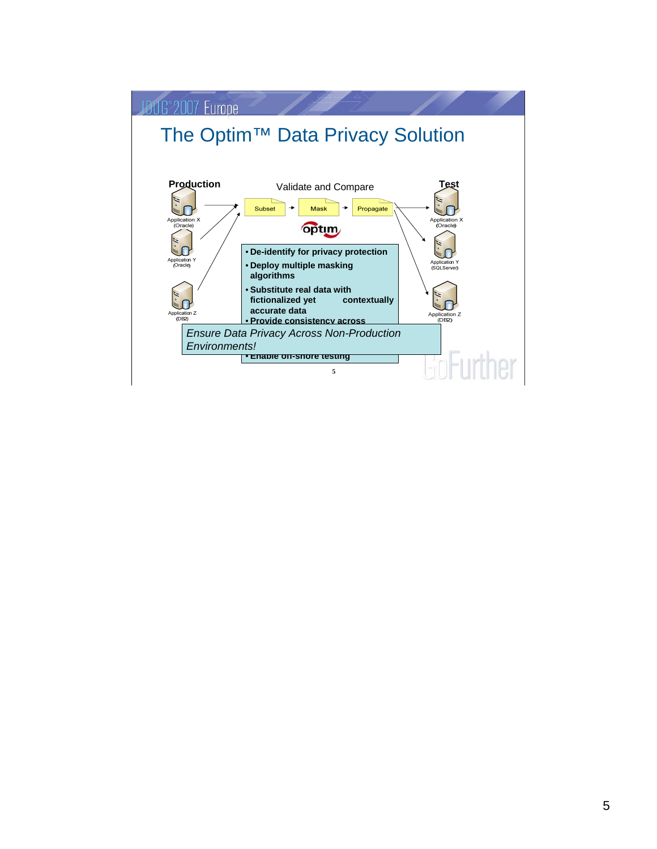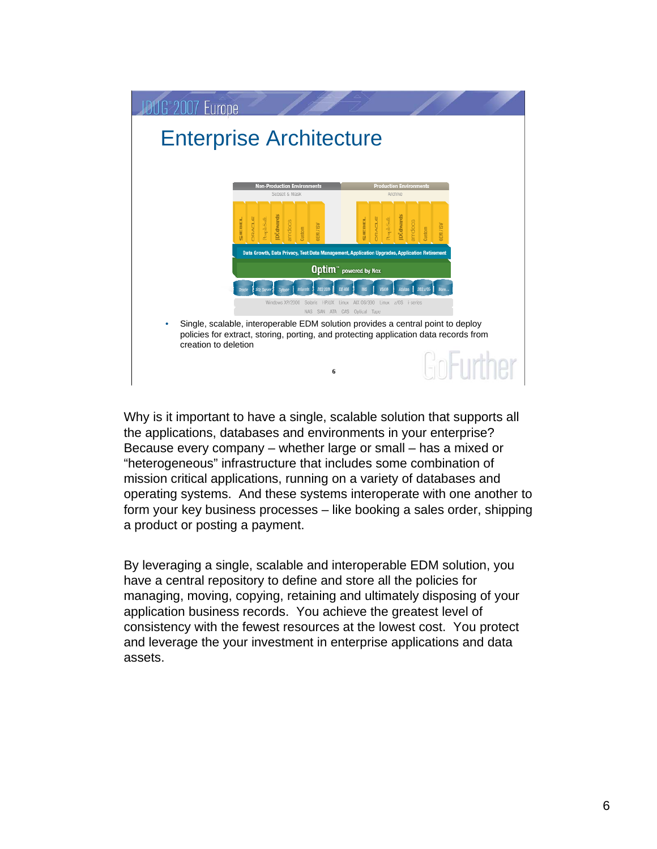

Why is it important to have a single, scalable solution that supports all the applications, databases and environments in your enterprise? Because every company – whether large or small – has a mixed or "heterogeneous" infrastructure that includes some combination of mission critical applications, running on a variety of databases and operating systems. And these systems interoperate with one another to form your key business processes – like booking a sales order, shipping a product or posting a payment.

By leveraging a single, scalable and interoperable EDM solution, you have a central repository to define and store all the policies for managing, moving, copying, retaining and ultimately disposing of your application business records. You achieve the greatest level of consistency with the fewest resources at the lowest cost. You protect and leverage the your investment in enterprise applications and data assets.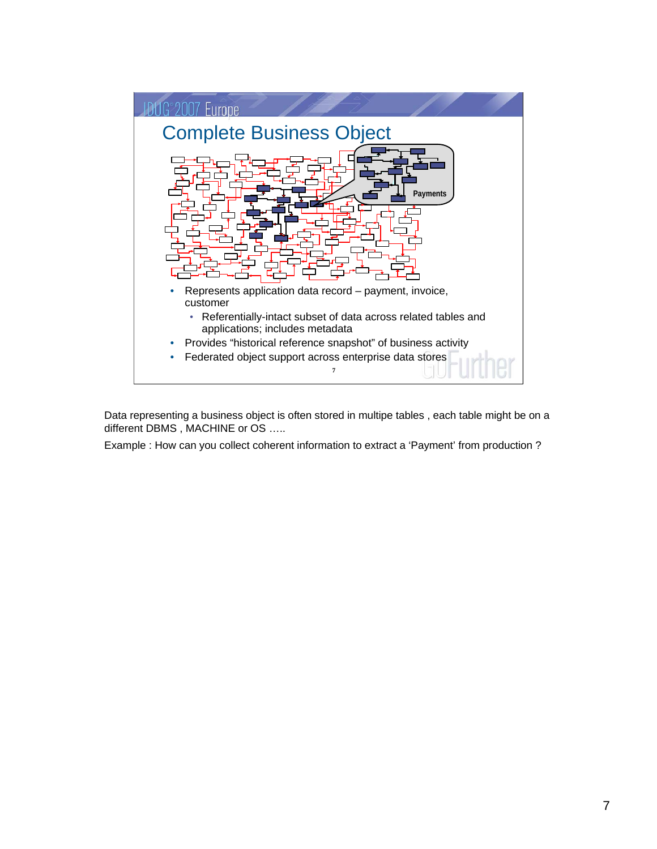

Data representing a business object is often stored in multipe tables , each table might be on a different DBMS, MACHINE or OS .....

Example : How can you collect coherent information to extract a 'Payment' from production ?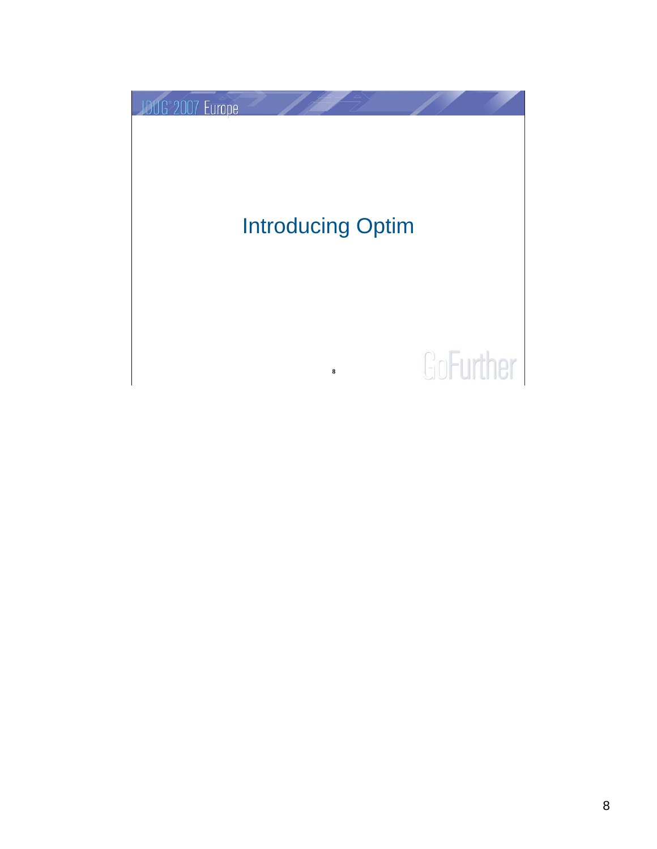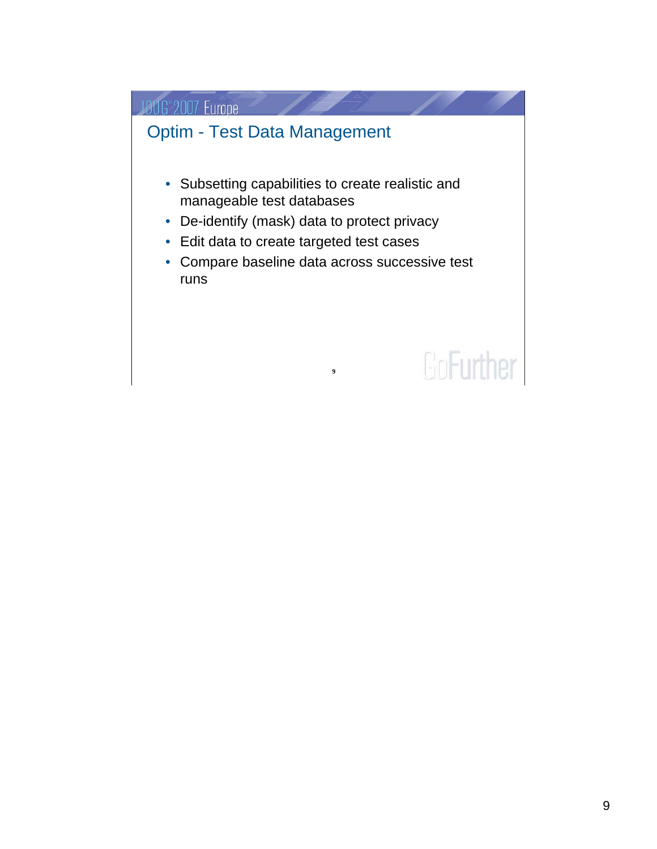#### **JDUG 2007 Europe**

#### Optim - Test Data Management

**SALA** 

- Subsetting capabilities to create realistic and manageable test databases
- De-identify (mask) data to protect privacy
- Edit data to create targeted test cases
- Compare baseline data across successive test runs

**9**

# GoFurther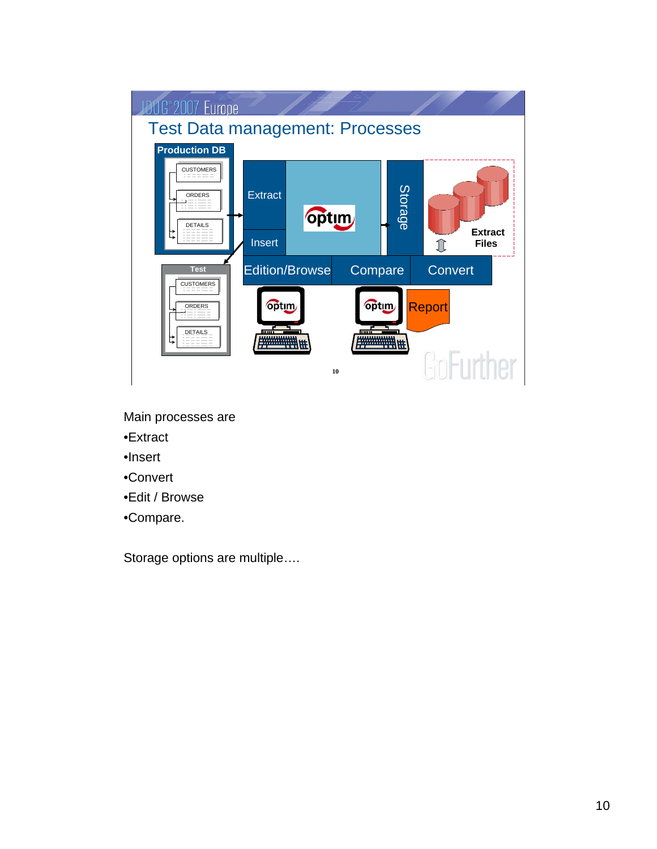

- Main processes are
- •Extract
- •Insert
- •Convert
- •Edit / Browse
- •Compare.

Storage options are multiple….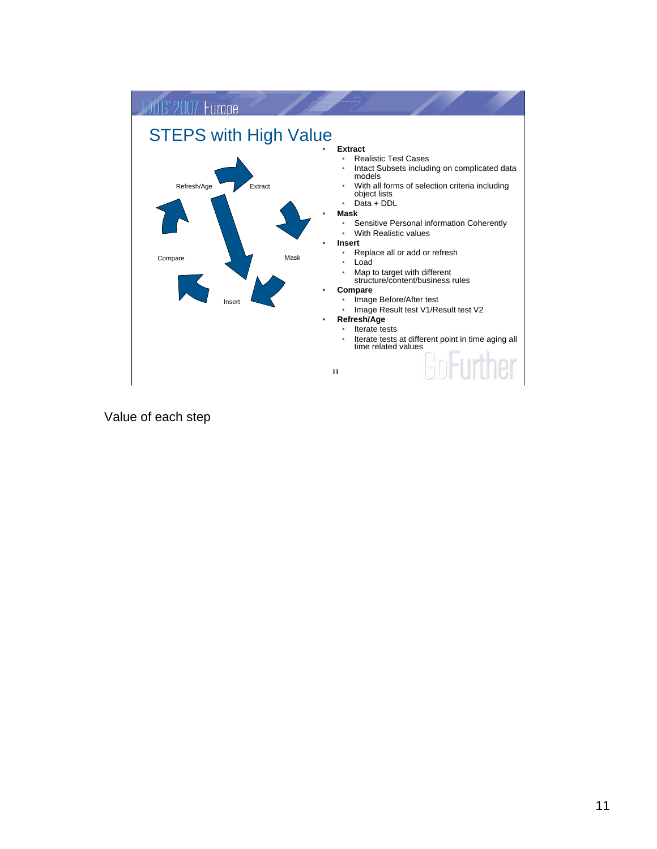

Value of each step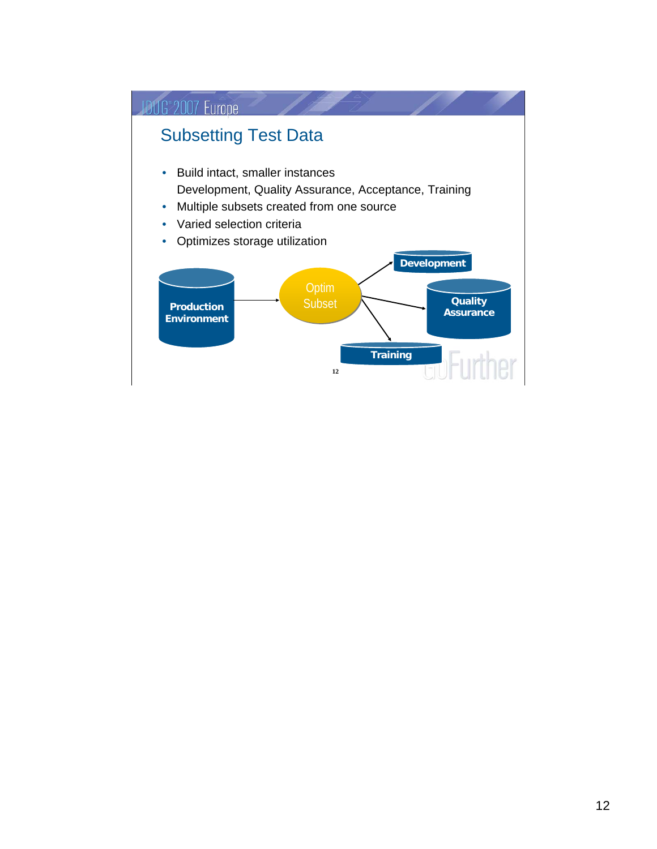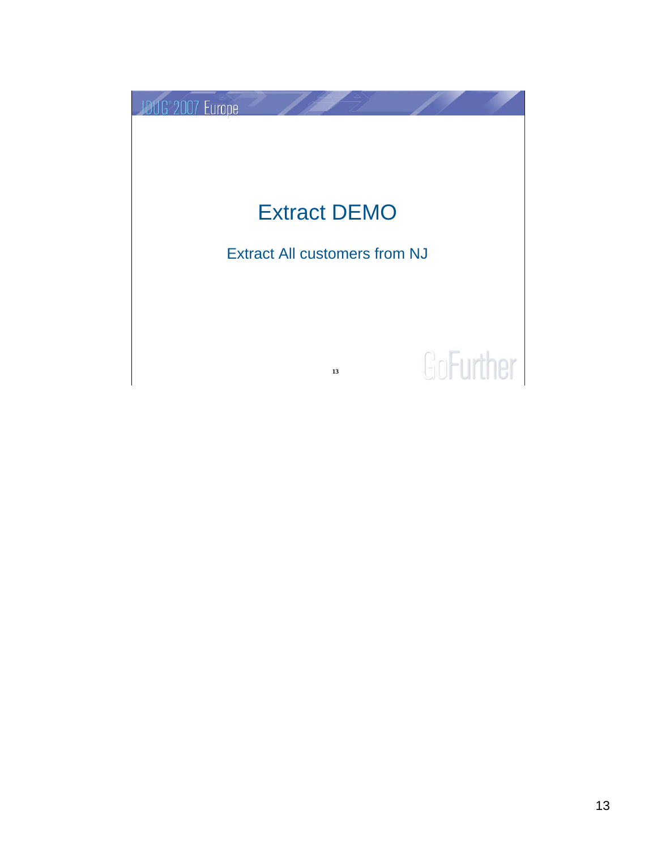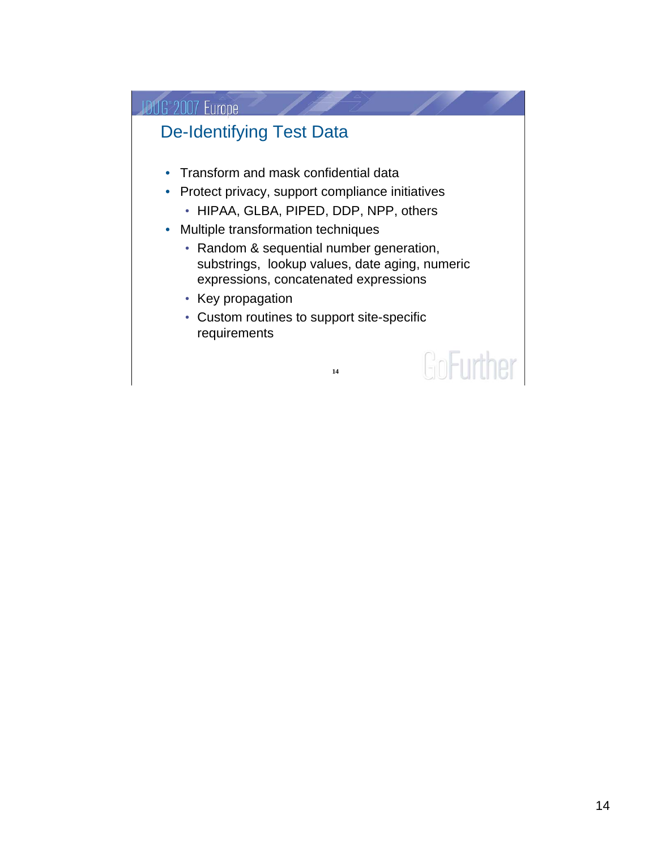#### **JDUG 2007 Europe**

#### De-Identifying Test Data

- Transform and mask confidential data
- Protect privacy, support compliance initiatives
	- HIPAA, GLBA, PIPED, DDP, NPP, others
- Multiple transformation techniques
	- Random & sequential number generation, substrings, lookup values, date aging, numeric expressions, concatenated expressions
	- Key propagation
	- Custom routines to support site-specific requirements

GoFurther

**14**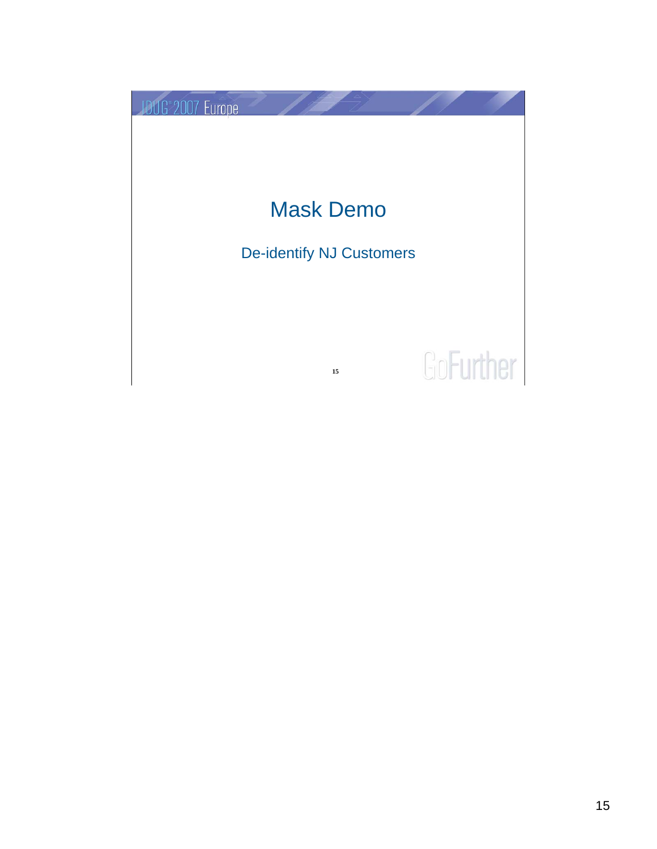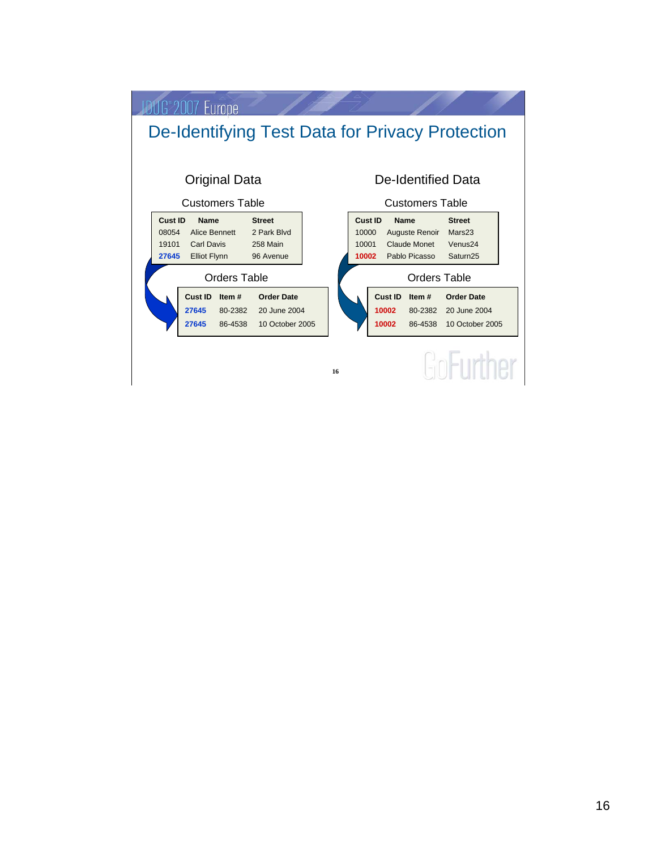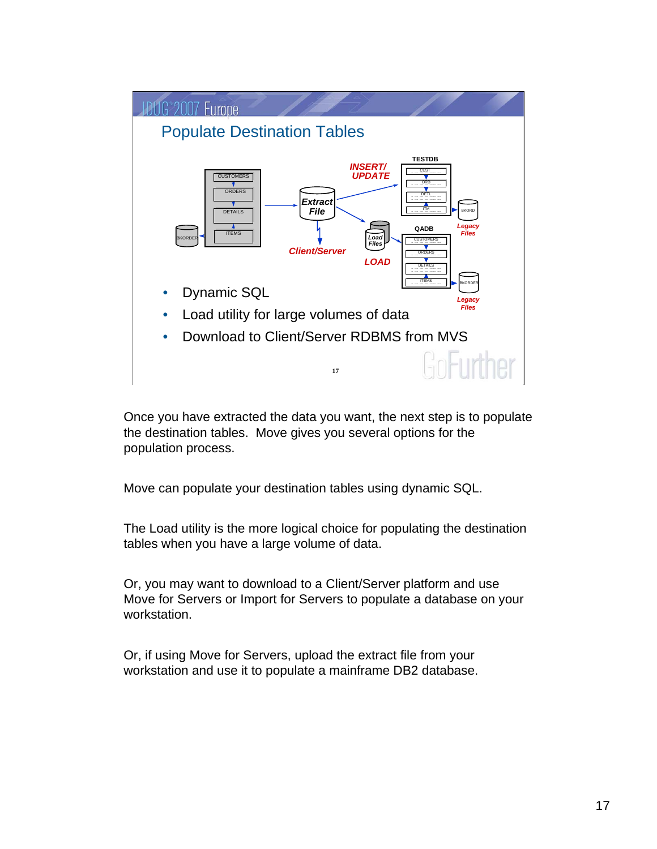

Once you have extracted the data you want, the next step is to populate the destination tables. Move gives you several options for the population process.

Move can populate your destination tables using dynamic SQL.

The Load utility is the more logical choice for populating the destination tables when you have a large volume of data.

Or, you may want to download to a Client/Server platform and use Move for Servers or Import for Servers to populate a database on your workstation.

Or, if using Move for Servers, upload the extract file from your workstation and use it to populate a mainframe DB2 database.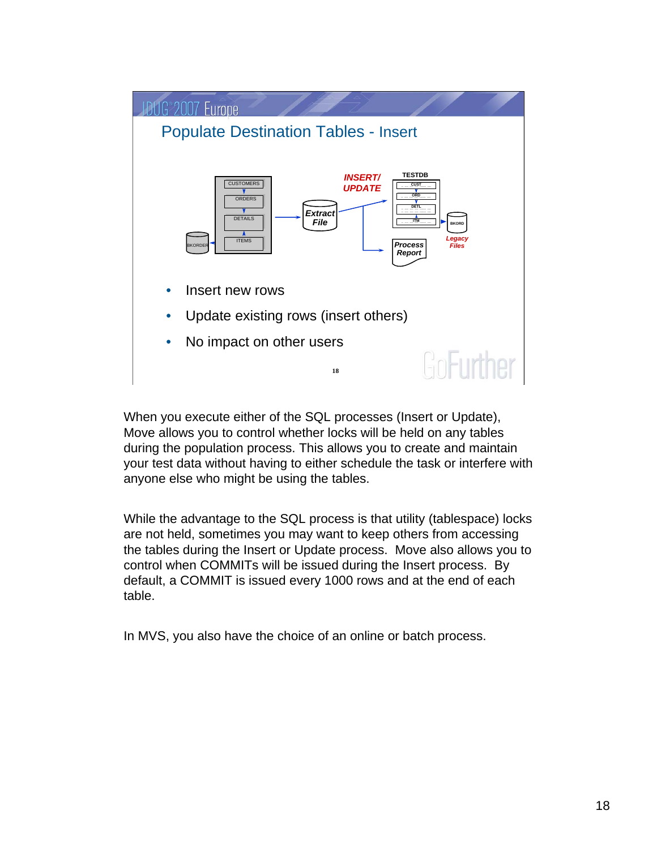

When you execute either of the SQL processes (Insert or Update), Move allows you to control whether locks will be held on any tables during the population process. This allows you to create and maintain your test data without having to either schedule the task or interfere with anyone else who might be using the tables.

While the advantage to the SQL process is that utility (tablespace) locks are not held, sometimes you may want to keep others from accessing the tables during the Insert or Update process. Move also allows you to control when COMMITs will be issued during the Insert process. By default, a COMMIT is issued every 1000 rows and at the end of each table.

In MVS, you also have the choice of an online or batch process.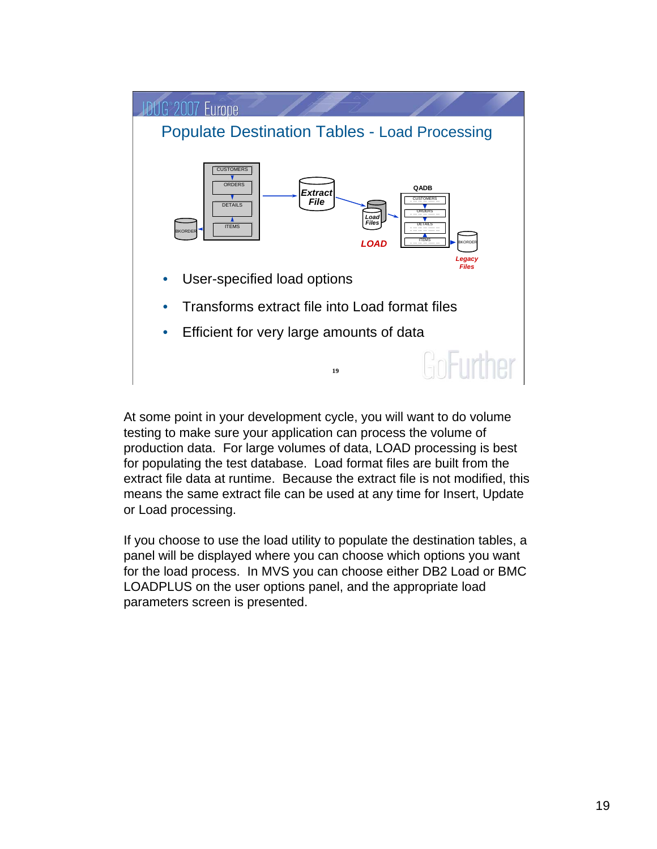

At some point in your development cycle, you will want to do volume testing to make sure your application can process the volume of production data. For large volumes of data, LOAD processing is best for populating the test database. Load format files are built from the extract file data at runtime. Because the extract file is not modified, this means the same extract file can be used at any time for Insert, Update or Load processing.

If you choose to use the load utility to populate the destination tables, a panel will be displayed where you can choose which options you want for the load process. In MVS you can choose either DB2 Load or BMC LOADPLUS on the user options panel, and the appropriate load parameters screen is presented.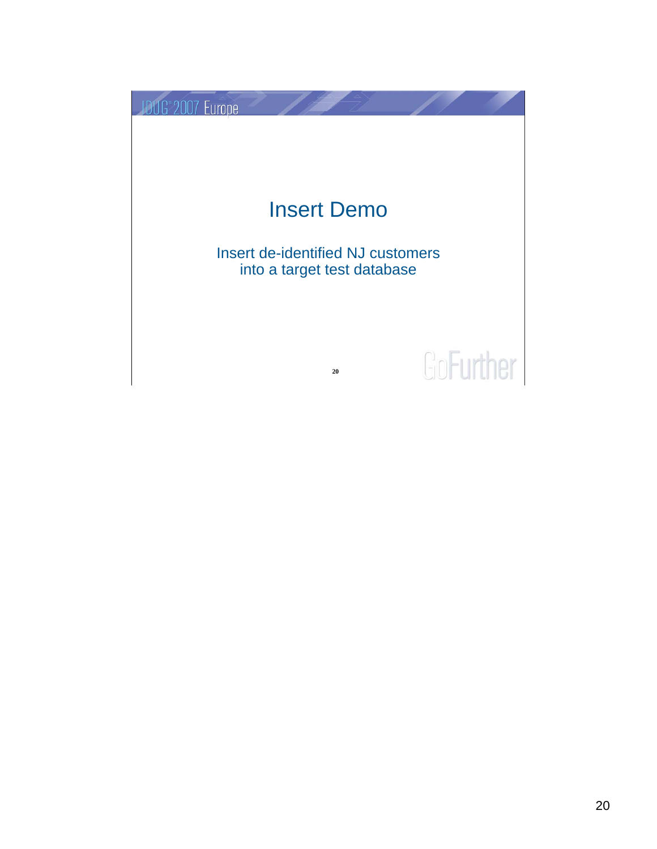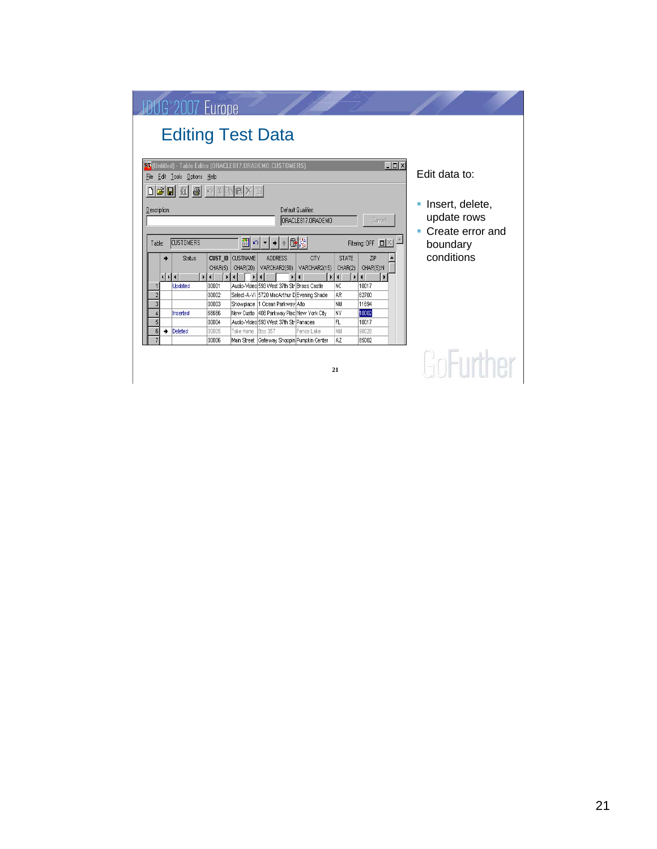|                                                                                                                                                                                                                                                                | G <sup>9007</sup> Europe                                                                          |    |                            |                                                                      |                                               |                                            |                                      |                                                                    |                                                      |  |                                             |  |
|----------------------------------------------------------------------------------------------------------------------------------------------------------------------------------------------------------------------------------------------------------------|---------------------------------------------------------------------------------------------------|----|----------------------------|----------------------------------------------------------------------|-----------------------------------------------|--------------------------------------------|--------------------------------------|--------------------------------------------------------------------|------------------------------------------------------|--|---------------------------------------------|--|
|                                                                                                                                                                                                                                                                | <b>Editing Test Data</b>                                                                          |    |                            |                                                                      |                                               |                                            |                                      |                                                                    |                                                      |  |                                             |  |
| $\Box$ D $\Box$<br>BS (Untitled) - Table Editor (ORACLE817.ORADEMO.CUSTOMERS)<br>Edit data to:<br>Edit Tools Options Help<br>File<br>$\bigcirc$ $\circ$ $\mathbb{R}$ b $\mathbb{R}$ $\times$<br>미터데 제<br>Insert, delete,<br>Default Qualifier:<br>Description: |                                                                                                   |    |                            |                                                                      |                                               |                                            |                                      |                                                                    |                                                      |  |                                             |  |
|                                                                                                                                                                                                                                                                | ORACLE817.ORADEMO<br>Cancel<br>뻬이<br><b>CUSTOMERS</b><br>Filtering: OFF $\Box$ $\times$<br>Table: |    |                            |                                                                      |                                               |                                            |                                      |                                                                    |                                                      |  | update rows<br>Create error and<br>boundary |  |
|                                                                                                                                                                                                                                                                |                                                                                                   | ⊣⊡ | <b>Status</b><br>$\vert$ ( | <b>CUST ID</b><br>CHAR(5)<br>$\blacktriangleright$<br>$\overline{4}$ | <b>CUSTNAME</b><br>CHAR(20)<br>$\blacksquare$ | <b>ADDRESS</b><br>VARCHAR2(50)             | CITY<br>VARCHAR2(15)<br>$\mathbf{H}$ | <b>STATE</b><br>CHAR(2)<br>$\blacksquare$<br>$\blacktriangleright$ | ZIP<br>CHAR(5):N<br>$\left  \right $<br>$\mathbf{r}$ |  | conditions                                  |  |
|                                                                                                                                                                                                                                                                |                                                                                                   |    | Updated                    | 00001                                                                |                                               | Audio-Video 593 West 37th Str Brass Castle |                                      | <b>NC</b>                                                          | 10017                                                |  |                                             |  |
|                                                                                                                                                                                                                                                                |                                                                                                   |    |                            | 00002                                                                |                                               | Select-A-Vi 5720 MacArthur D Evening Shade |                                      | AR                                                                 | 62700                                                |  |                                             |  |
|                                                                                                                                                                                                                                                                | 3                                                                                                 |    |                            | 00003                                                                |                                               | Showplace  1 Ocean Parkway Alto            |                                      | NM                                                                 | 11694                                                |  |                                             |  |
|                                                                                                                                                                                                                                                                |                                                                                                   |    | Inserted                   | 66666                                                                |                                               | New Custo 408 Parkway Plac New York City   |                                      | lΝY                                                                | 10002                                                |  |                                             |  |
|                                                                                                                                                                                                                                                                | 5                                                                                                 |    |                            | 00004                                                                |                                               | Audio-Video 593 West 37th Str Panacea      |                                      | FL                                                                 | 10017                                                |  |                                             |  |
|                                                                                                                                                                                                                                                                | 6                                                                                                 | ۰  | Deleted                    | 00005<br>00006                                                       | Take Home                                     | <b>Box 357</b>                             | Fence Lake                           | NM<br> AZ                                                          | 90028<br>85002                                       |  |                                             |  |
|                                                                                                                                                                                                                                                                | Main Street Gateway Shoppin Pumpkin Center<br>21                                                  |    |                            |                                                                      |                                               |                                            |                                      |                                                                    |                                                      |  |                                             |  |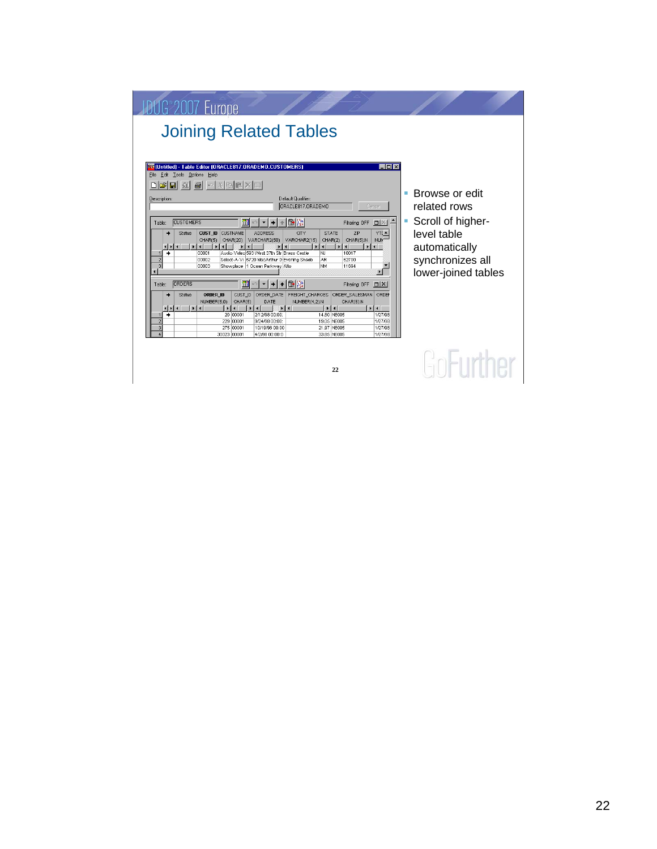| G <sup>2</sup> 2007 Furoper                                                                                                                                                                                                                                                                                                                                                                                                                                                                                                                                                                                                                                                                                                                                                                                                                                                                                                                                                                                                                                                                                                                                                                                                                                                                                                                                                                                                                                                                                                                                                                                                                                                                                                                          |                                                                                                                                     |
|------------------------------------------------------------------------------------------------------------------------------------------------------------------------------------------------------------------------------------------------------------------------------------------------------------------------------------------------------------------------------------------------------------------------------------------------------------------------------------------------------------------------------------------------------------------------------------------------------------------------------------------------------------------------------------------------------------------------------------------------------------------------------------------------------------------------------------------------------------------------------------------------------------------------------------------------------------------------------------------------------------------------------------------------------------------------------------------------------------------------------------------------------------------------------------------------------------------------------------------------------------------------------------------------------------------------------------------------------------------------------------------------------------------------------------------------------------------------------------------------------------------------------------------------------------------------------------------------------------------------------------------------------------------------------------------------------------------------------------------------------|-------------------------------------------------------------------------------------------------------------------------------------|
| <b>Joining Related Tables</b>                                                                                                                                                                                                                                                                                                                                                                                                                                                                                                                                                                                                                                                                                                                                                                                                                                                                                                                                                                                                                                                                                                                                                                                                                                                                                                                                                                                                                                                                                                                                                                                                                                                                                                                        |                                                                                                                                     |
| <b>B. (Untitled)</b> - Table Editor (ORACLE817.ORADEMO.CUSTOMERS)<br>$\Box$ D $\bm{x}$<br>File Edit Tools Options Help<br>eidi<br>玩<br>黒<br>l e.<br>e1<br>. I Ce<br>$ K^2\rangle$<br>Default Qualifier:<br>Description:<br>ORACLE817.ORADEMO<br>Cancel<br>m<br>G 路<br><b>CUSTOMERS</b><br>Filtering: OFF <b>D</b> X<br>Table:<br><b>CUST_ID CUSTNAME</b><br><b>ADDRESS</b><br><b>CITY</b><br><b>STATE</b><br><b>ZIP</b><br><b>Status</b><br>YTI<br>CHAR(5):N<br>CHAR(20)<br>VARCHAR2(50)<br>VARCHAR2(15)<br>CHAR(2)<br>CHAR(5)<br><b>NLIN</b><br>$\blacksquare$<br>$\blacksquare$<br><b>D</b><br>$\blacksquare$<br>$\blacktriangleright$ 1<br>$\blacksquare$<br>$\left\vert \cdot\right\vert$<br>$\blacksquare$<br>Audio-Video 593 West 37th Str Brass Castle<br>$\rightarrow$<br>00001<br>NJ<br>10017<br>$\overline{2}$<br>AR<br>00002<br>Select-A-Vi 5720 MacArthur D Evening Shade<br>62700<br><b>NM</b><br>11694<br>00003<br>Showplace  1 Ocean Parkway Alto<br>$+$ $\bigoplus$ $\bigtriangledown$<br>m<br><b>ORDERS</b><br>$\rightarrow$<br>Filtering: OFF D   X  <br>Table:<br>$\blacktriangledown$<br>CUST ID<br><b>ORDER ID</b><br>ORDER_DATE<br>FREIGHT_CHARGES<br>ORDER_SALESMAN ORDER<br><b>Status</b><br>NUMBER(5.0)<br>CHAR(5)<br><b>DATE</b><br>NUMBER(4,2):N<br>CHAR(6):N<br>$\blacksquare$<br>$\vert \vert$<br>$  \cdot  $<br>$\mathbf{r}$<br>$\blacktriangleright$<br>$\mathbf{F}$<br>$ + + $<br>$\left\vert \cdot\right\vert$<br>$\blacksquare$<br>$\blacksquare$<br>20 00001<br>14.80 NE005<br>1/27/98<br>٠<br>2/12/98 00:00:<br>$\overline{2}$<br>229 00001<br>1/27/98<br>9/24/98 00:00:<br>19.05 NE005<br>3<br>275 00001<br>21.97 NE005<br>10/19/98 00:00<br>1/27/98<br>30023 00001<br>4/2/98 00:00:0<br>33.85 NE005<br>1/27/98 | Browse or edit<br>related rows<br>Scroll of higher-<br>ш<br>level table<br>automatically<br>synchronizes all<br>lower-joined tables |
| 22                                                                                                                                                                                                                                                                                                                                                                                                                                                                                                                                                                                                                                                                                                                                                                                                                                                                                                                                                                                                                                                                                                                                                                                                                                                                                                                                                                                                                                                                                                                                                                                                                                                                                                                                                   |                                                                                                                                     |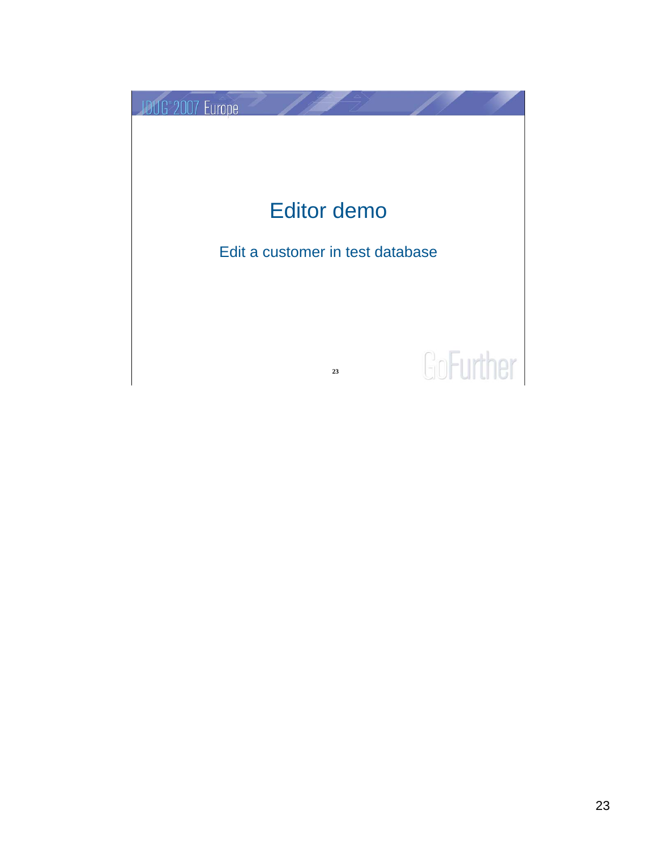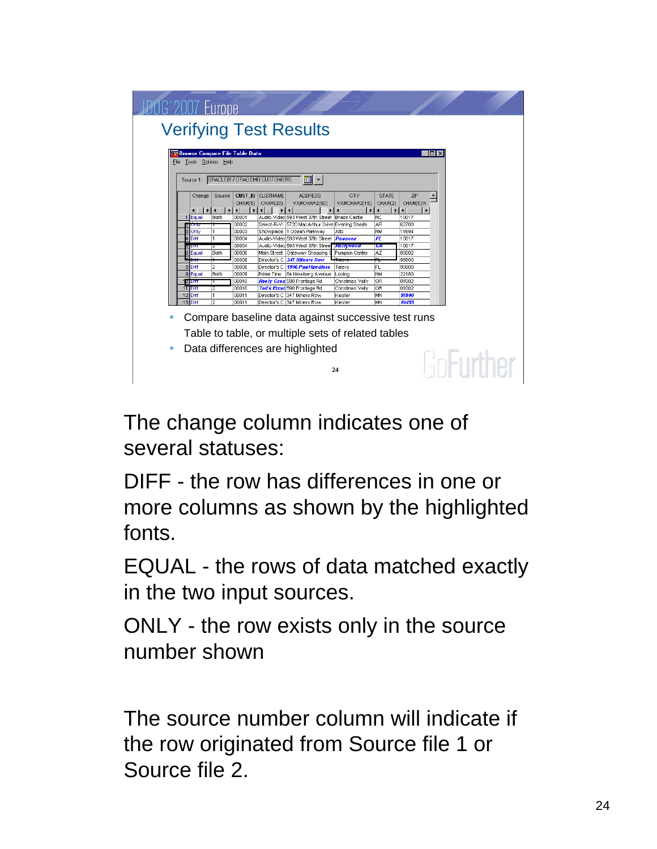

The change column indicates one of several statuses:

DIFF - the row has differences in one or more columns as shown by the highlighted fonts.

EQUAL - the rows of data matched exactly in the two input sources.

ONLY - the row exists only in the source number shown

The source number column will indicate if the row originated from Source file 1 or Source file 2.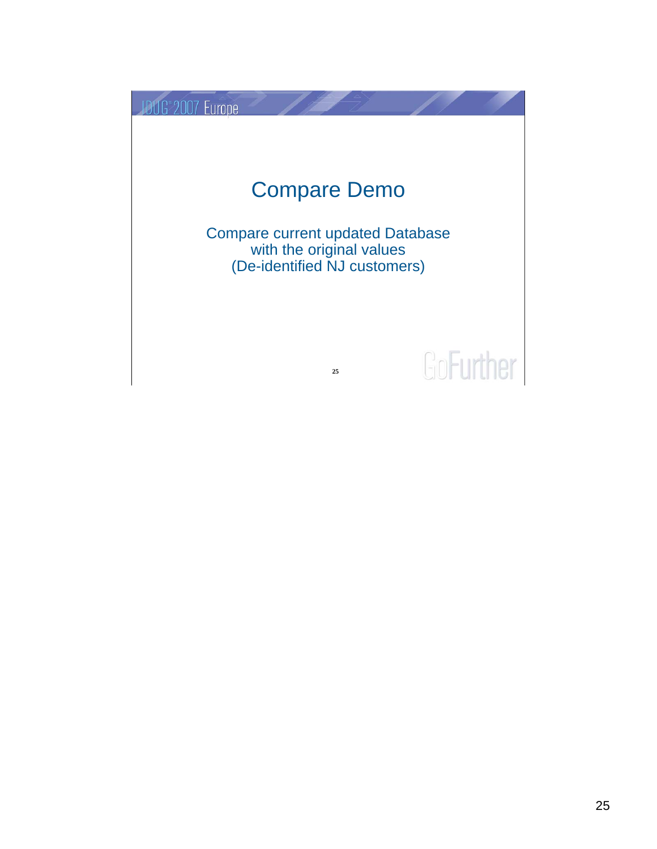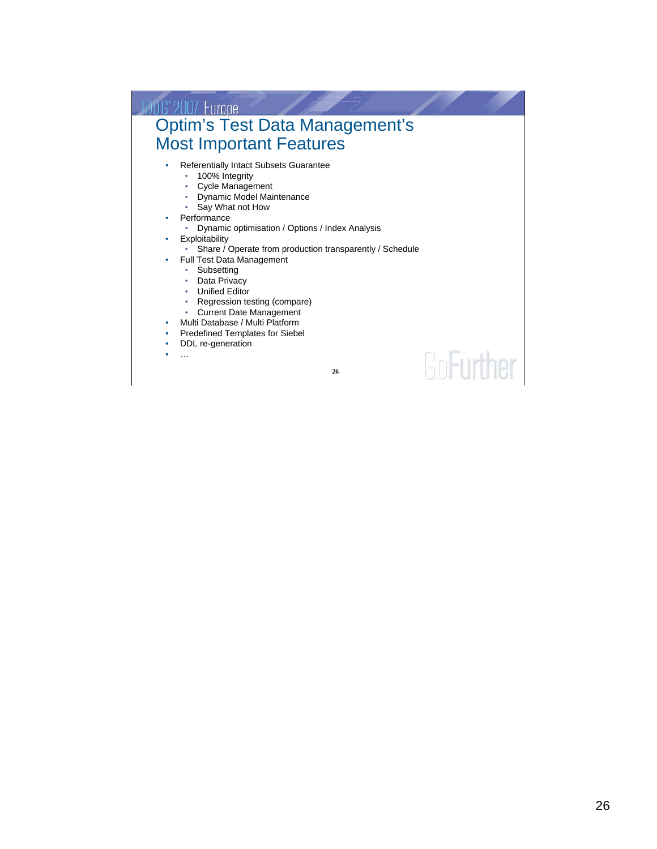#### **JDUG 2007 Europe<br>Optim's Test Data Management's** Most Important Features • Referentially Intact Subsets Guarantee • 100% Integrity • Cycle Management • Dynamic Model Maintenance • Say What not How **Performance** • Dynamic optimisation / Options / Index Analysis **Exploitability** • Share / Operate from production transparently / Schedule • Full Test Data Management • Subsetting • Data Privacy • Unified Editor • Regression testing (compare) • Current Date Management • Multi Database / Multi Platform • Predefined Templates for Siebel • DDL re-generation GoFurther  $\ddotsc$ **26**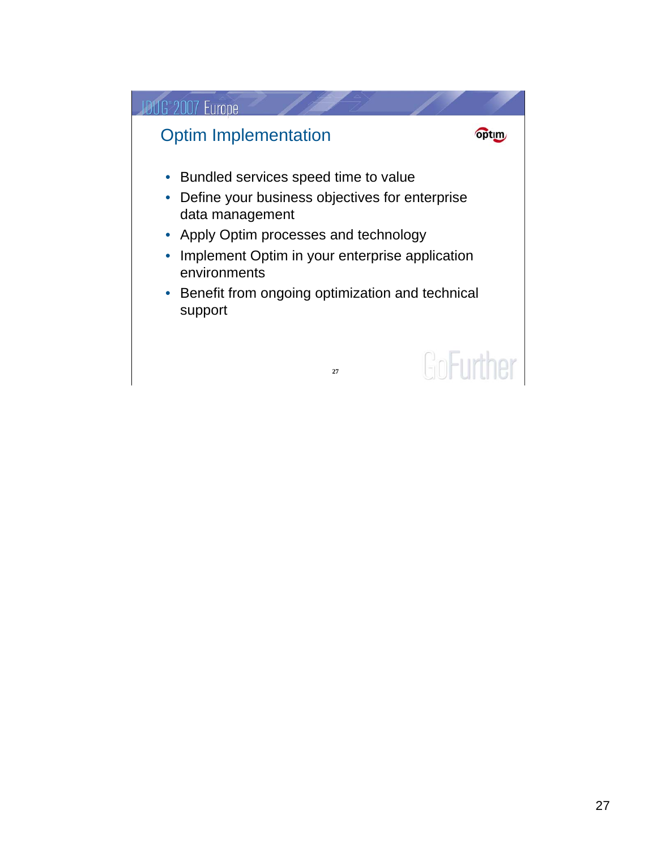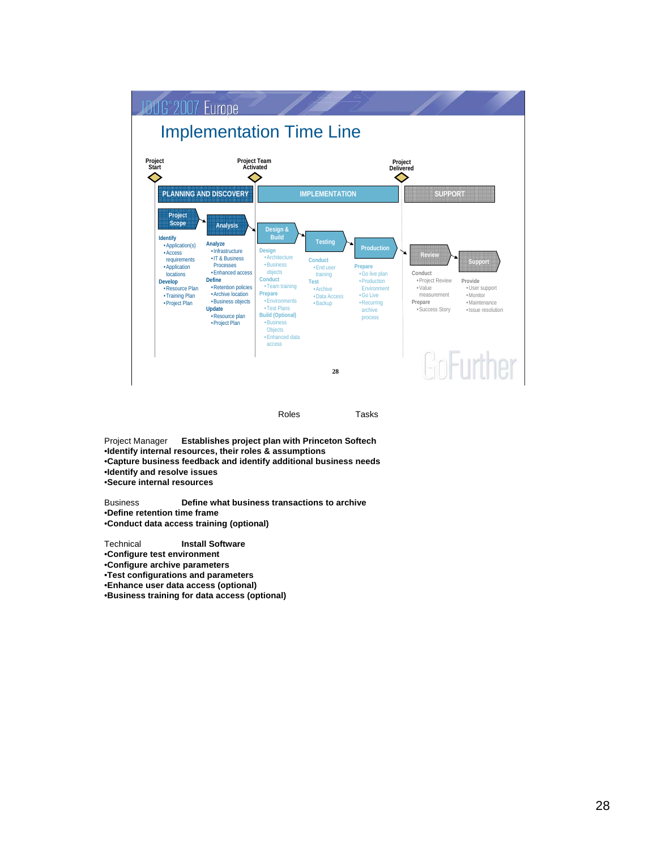

Project Manager **Establishes project plan with Princeton Softech** •**Identify internal resources, their roles & assumptions** •**Capture business feedback and identify additional business needs** •**Identify and resolve issues** •**Secure internal resources** 

Business **Define what business transactions to archive** •**Define retention time frame** •**Conduct data access training (optional)**

Technical **Install Software** 

•**Configure test environment**

•**Configure archive parameters**

•**Test configurations and parameters** •**Enhance user data access (optional)**

•**Business training for data access (optional)**